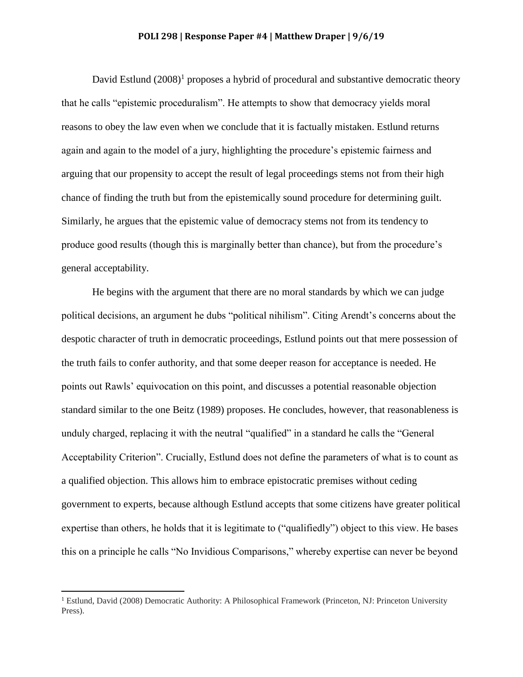## **POLI 298 | Response Paper #4 | Matthew Draper | 9/6/19**

David Estlund  $(2008)^1$  proposes a hybrid of procedural and substantive democratic theory that he calls "epistemic proceduralism". He attempts to show that democracy yields moral reasons to obey the law even when we conclude that it is factually mistaken. Estlund returns again and again to the model of a jury, highlighting the procedure's epistemic fairness and arguing that our propensity to accept the result of legal proceedings stems not from their high chance of finding the truth but from the epistemically sound procedure for determining guilt. Similarly, he argues that the epistemic value of democracy stems not from its tendency to produce good results (though this is marginally better than chance), but from the procedure's general acceptability.

He begins with the argument that there are no moral standards by which we can judge political decisions, an argument he dubs "political nihilism". Citing Arendt's concerns about the despotic character of truth in democratic proceedings, Estlund points out that mere possession of the truth fails to confer authority, and that some deeper reason for acceptance is needed. He points out Rawls' equivocation on this point, and discusses a potential reasonable objection standard similar to the one Beitz (1989) proposes. He concludes, however, that reasonableness is unduly charged, replacing it with the neutral "qualified" in a standard he calls the "General Acceptability Criterion". Crucially, Estlund does not define the parameters of what is to count as a qualified objection. This allows him to embrace epistocratic premises without ceding government to experts, because although Estlund accepts that some citizens have greater political expertise than others, he holds that it is legitimate to ("qualifiedly") object to this view. He bases this on a principle he calls "No Invidious Comparisons," whereby expertise can never be beyond

 $\overline{a}$ 

<sup>&</sup>lt;sup>1</sup> Estlund, David (2008) Democratic Authority: A Philosophical Framework (Princeton, NJ: Princeton University Press).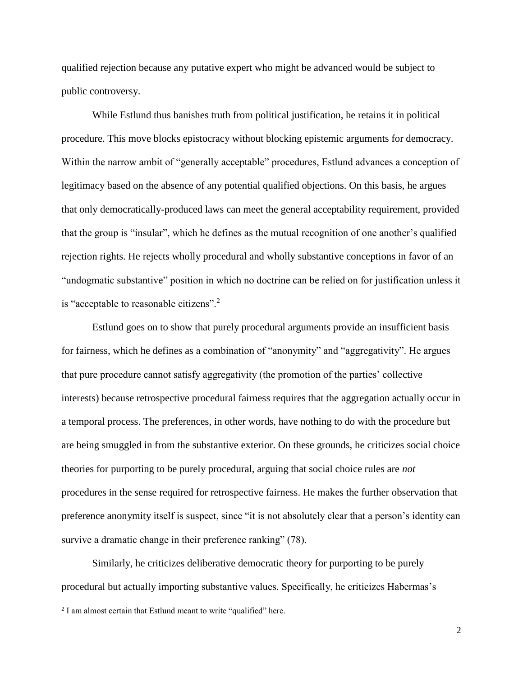qualified rejection because any putative expert who might be advanced would be subject to public controversy.

While Estlund thus banishes truth from political justification, he retains it in political procedure. This move blocks epistocracy without blocking epistemic arguments for democracy. Within the narrow ambit of "generally acceptable" procedures, Estlund advances a conception of legitimacy based on the absence of any potential qualified objections. On this basis, he argues that only democratically-produced laws can meet the general acceptability requirement, provided that the group is "insular", which he defines as the mutual recognition of one another's qualified rejection rights. He rejects wholly procedural and wholly substantive conceptions in favor of an "undogmatic substantive" position in which no doctrine can be relied on for justification unless it is "acceptable to reasonable citizens".<sup>2</sup>

Estlund goes on to show that purely procedural arguments provide an insufficient basis for fairness, which he defines as a combination of "anonymity" and "aggregativity". He argues that pure procedure cannot satisfy aggregativity (the promotion of the parties' collective interests) because retrospective procedural fairness requires that the aggregation actually occur in a temporal process. The preferences, in other words, have nothing to do with the procedure but are being smuggled in from the substantive exterior. On these grounds, he criticizes social choice theories for purporting to be purely procedural, arguing that social choice rules are *not* procedures in the sense required for retrospective fairness. He makes the further observation that preference anonymity itself is suspect, since "it is not absolutely clear that a person's identity can survive a dramatic change in their preference ranking" (78).

Similarly, he criticizes deliberative democratic theory for purporting to be purely procedural but actually importing substantive values. Specifically, he criticizes Habermas's

 $\overline{\phantom{a}}$ 

 $2$  I am almost certain that Estlund meant to write "qualified" here.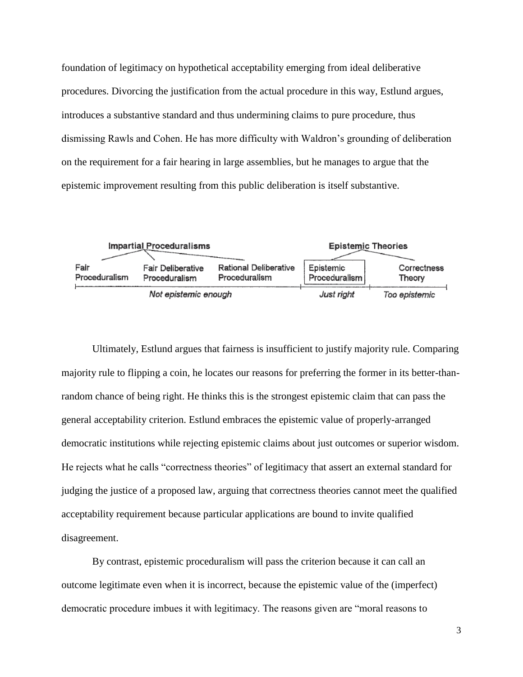foundation of legitimacy on hypothetical acceptability emerging from ideal deliberative procedures. Divorcing the justification from the actual procedure in this way, Estlund argues, introduces a substantive standard and thus undermining claims to pure procedure, thus dismissing Rawls and Cohen. He has more difficulty with Waldron's grounding of deliberation on the requirement for a fair hearing in large assemblies, but he manages to argue that the epistemic improvement resulting from this public deliberation is itself substantive.



Ultimately, Estlund argues that fairness is insufficient to justify majority rule. Comparing majority rule to flipping a coin, he locates our reasons for preferring the former in its better-thanrandom chance of being right. He thinks this is the strongest epistemic claim that can pass the general acceptability criterion. Estlund embraces the epistemic value of properly-arranged democratic institutions while rejecting epistemic claims about just outcomes or superior wisdom. He rejects what he calls "correctness theories" of legitimacy that assert an external standard for judging the justice of a proposed law, arguing that correctness theories cannot meet the qualified acceptability requirement because particular applications are bound to invite qualified disagreement.

By contrast, epistemic proceduralism will pass the criterion because it can call an outcome legitimate even when it is incorrect, because the epistemic value of the (imperfect) democratic procedure imbues it with legitimacy. The reasons given are "moral reasons to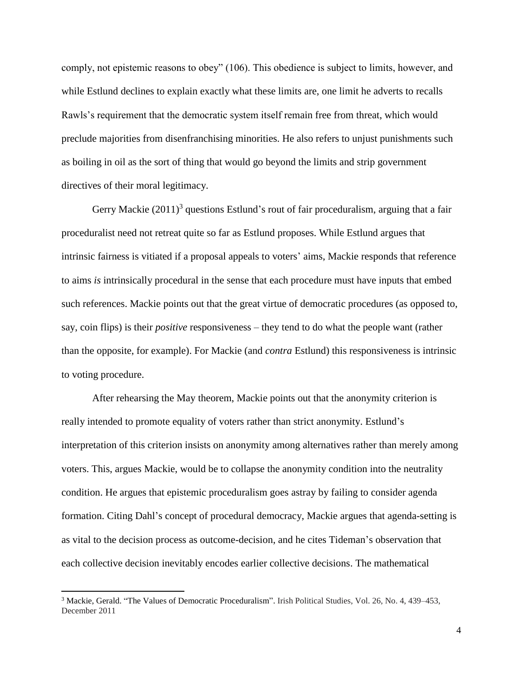comply, not epistemic reasons to obey" (106). This obedience is subject to limits, however, and while Estlund declines to explain exactly what these limits are, one limit he adverts to recalls Rawls's requirement that the democratic system itself remain free from threat, which would preclude majorities from disenfranchising minorities. He also refers to unjust punishments such as boiling in oil as the sort of thing that would go beyond the limits and strip government directives of their moral legitimacy.

Gerry Mackie  $(2011)^3$  questions Estlund's rout of fair proceduralism, arguing that a fair proceduralist need not retreat quite so far as Estlund proposes. While Estlund argues that intrinsic fairness is vitiated if a proposal appeals to voters' aims, Mackie responds that reference to aims *is* intrinsically procedural in the sense that each procedure must have inputs that embed such references. Mackie points out that the great virtue of democratic procedures (as opposed to, say, coin flips) is their *positive* responsiveness – they tend to do what the people want (rather than the opposite, for example). For Mackie (and *contra* Estlund) this responsiveness is intrinsic to voting procedure.

After rehearsing the May theorem, Mackie points out that the anonymity criterion is really intended to promote equality of voters rather than strict anonymity. Estlund's interpretation of this criterion insists on anonymity among alternatives rather than merely among voters. This, argues Mackie, would be to collapse the anonymity condition into the neutrality condition. He argues that epistemic proceduralism goes astray by failing to consider agenda formation. Citing Dahl's concept of procedural democracy, Mackie argues that agenda-setting is as vital to the decision process as outcome-decision, and he cites Tideman's observation that each collective decision inevitably encodes earlier collective decisions. The mathematical

 $\overline{a}$ 

<sup>3</sup> Mackie, Gerald. "The Values of Democratic Proceduralism". Irish Political Studies, Vol. 26, No. 4, 439–453, December 2011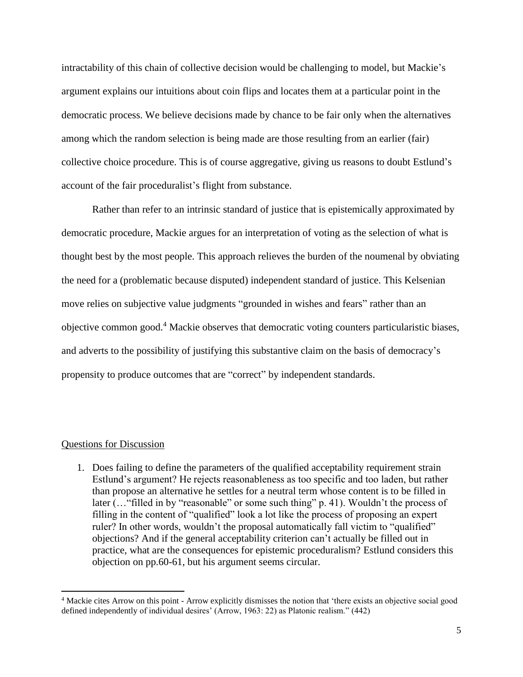intractability of this chain of collective decision would be challenging to model, but Mackie's argument explains our intuitions about coin flips and locates them at a particular point in the democratic process. We believe decisions made by chance to be fair only when the alternatives among which the random selection is being made are those resulting from an earlier (fair) collective choice procedure. This is of course aggregative, giving us reasons to doubt Estlund's account of the fair proceduralist's flight from substance.

Rather than refer to an intrinsic standard of justice that is epistemically approximated by democratic procedure, Mackie argues for an interpretation of voting as the selection of what is thought best by the most people. This approach relieves the burden of the noumenal by obviating the need for a (problematic because disputed) independent standard of justice. This Kelsenian move relies on subjective value judgments "grounded in wishes and fears" rather than an objective common good.<sup>4</sup> Mackie observes that democratic voting counters particularistic biases, and adverts to the possibility of justifying this substantive claim on the basis of democracy's propensity to produce outcomes that are "correct" by independent standards.

## Questions for Discussion

 $\overline{a}$ 

1. Does failing to define the parameters of the qualified acceptability requirement strain Estlund's argument? He rejects reasonableness as too specific and too laden, but rather than propose an alternative he settles for a neutral term whose content is to be filled in later (... "filled in by "reasonable" or some such thing" p. 41). Wouldn't the process of filling in the content of "qualified" look a lot like the process of proposing an expert ruler? In other words, wouldn't the proposal automatically fall victim to "qualified" objections? And if the general acceptability criterion can't actually be filled out in practice, what are the consequences for epistemic proceduralism? Estlund considers this objection on pp.60-61, but his argument seems circular.

<sup>&</sup>lt;sup>4</sup> Mackie cites Arrow on this point - Arrow explicitly dismisses the notion that 'there exists an objective social good defined independently of individual desires' (Arrow, 1963: 22) as Platonic realism." (442)